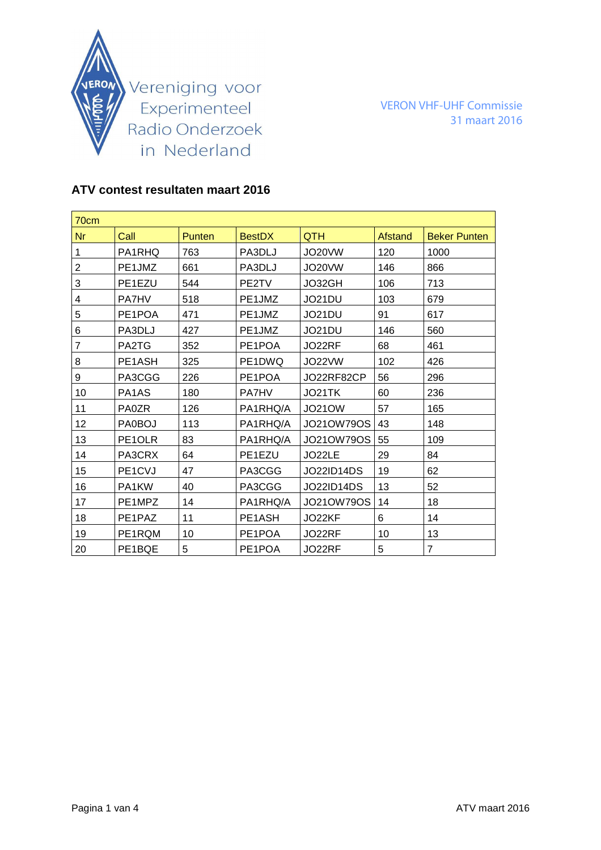

VERON VHF-UHF Commissie 31 maart 2016

## **ATV contest resultaten maart 2016**

| 70cm           |                                |        |               |                   |         |                     |
|----------------|--------------------------------|--------|---------------|-------------------|---------|---------------------|
| <b>Nr</b>      | Call                           | Punten | <b>BestDX</b> | <b>QTH</b>        | Afstand | <b>Beker Punten</b> |
| 1              | PA1RHQ                         | 763    | PA3DLJ        | JO20VW            | 120     | 1000                |
| $\overline{2}$ | PE1JMZ                         | 661    | PA3DLJ        | JO20VW            | 146     | 866                 |
| 3              | PE1EZU                         | 544    | PE2TV         | JO32GH            | 106     | 713                 |
| 4              | PA7HV                          | 518    | PE1JMZ        | JO21DU            | 103     | 679                 |
| 5              | PE1POA                         | 471    | PE1JMZ        | JO21DU            | 91      | 617                 |
| 6              | PA3DLJ                         | 427    | PE1JMZ        | JO21DU            | 146     | 560                 |
| $\overline{7}$ | PA2TG                          | 352    | PE1POA        | JO22RF            | 68      | 461                 |
| 8              | PE1ASH                         | 325    | PE1DWQ        | JO22VW            | 102     | 426                 |
| 9              | PA3CGG                         | 226    | PE1POA        | JO22RF82CP        | 56      | 296                 |
| 10             | PA <sub>1</sub> A <sub>S</sub> | 180    | <b>PA7HV</b>  | JO21TK            | 60      | 236                 |
| 11             | <b>PA0ZR</b>                   | 126    | PA1RHQ/A      | <b>JO21OW</b>     | 57      | 165                 |
| 12             | PA0BOJ                         | 113    | PA1RHQ/A      | <b>JO21OW79OS</b> | 43      | 148                 |
| 13             | PE1OLR                         | 83     | PA1RHQ/A      | JO21OW79OS        | 55      | 109                 |
| 14             | PA3CRX                         | 64     | PE1EZU        | JO22LE            | 29      | 84                  |
| 15             | PE1CVJ                         | 47     | PA3CGG        | <b>JO22ID14DS</b> | 19      | 62                  |
| 16             | PA1KW                          | 40     | PA3CGG        | <b>JO22ID14DS</b> | 13      | 52                  |
| 17             | PE1MPZ                         | 14     | PA1RHQ/A      | JO21OW79OS        | 14      | 18                  |
| 18             | PE1PAZ                         | 11     | PE1ASH        | JO22KF            | 6       | 14                  |
| 19             | PE1RQM                         | 10     | PE1POA        | JO22RF            | 10      | 13                  |
| 20             | PE1BQE                         | 5      | PE1POA        | JO22RF            | 5       | $\overline{7}$      |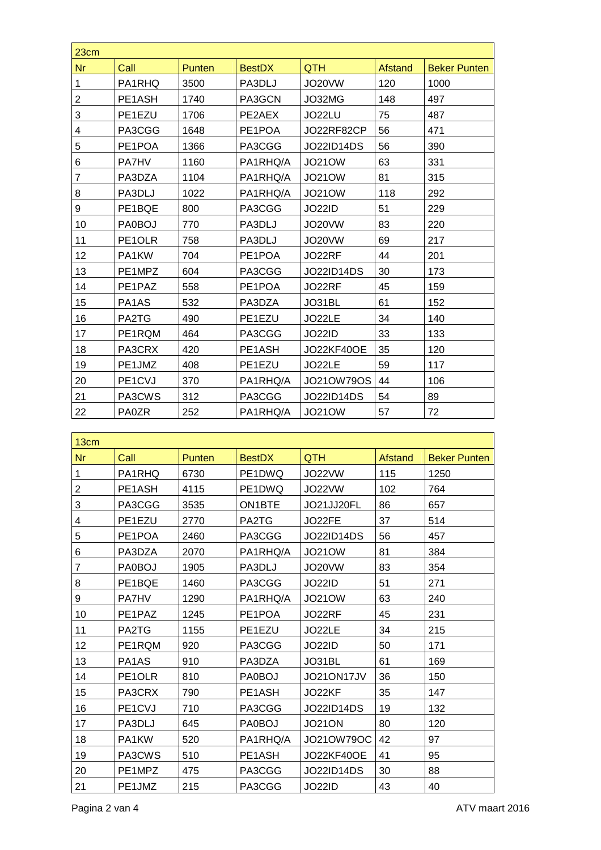| 23cm                    |              |        |               |                   |                |                     |
|-------------------------|--------------|--------|---------------|-------------------|----------------|---------------------|
| <b>Nr</b>               | Call         | Punten | <b>BestDX</b> | <b>QTH</b>        | <b>Afstand</b> | <b>Beker Punten</b> |
| 1                       | PA1RHQ       | 3500   | PA3DLJ        | JO20VW            | 120            | 1000                |
| $\overline{\mathbf{c}}$ | PE1ASH       | 1740   | PA3GCN        | JO32MG            | 148            | 497                 |
| 3                       | PE1EZU       | 1706   | PE2AEX        | JO22LU            | 75             | 487                 |
| 4                       | PA3CGG       | 1648   | PE1POA        | JO22RF82CP        | 56             | 471                 |
| 5                       | PE1POA       | 1366   | PA3CGG        | <b>JO22ID14DS</b> | 56             | 390                 |
| 6                       | PA7HV        | 1160   | PA1RHQ/A      | <b>JO21OW</b>     | 63             | 331                 |
| 7                       | PA3DZA       | 1104   | PA1RHQ/A      | <b>JO21OW</b>     | 81             | 315                 |
| 8                       | PA3DLJ       | 1022   | PA1RHQ/A      | <b>JO21OW</b>     | 118            | 292                 |
| 9                       | PE1BQE       | 800    | PA3CGG        | <b>JO22ID</b>     | 51             | 229                 |
| 10                      | PA0BOJ       | 770    | PA3DLJ        | <b>JO20VW</b>     | 83             | 220                 |
| 11                      | PE1OLR       | 758    | PA3DLJ        | JO20VW            | 69             | 217                 |
| 12                      | PA1KW        | 704    | PE1POA        | JO22RF            | 44             | 201                 |
| 13                      | PE1MPZ       | 604    | PA3CGG        | JO22ID14DS        | 30             | 173                 |
| 14                      | PE1PAZ       | 558    | PE1POA        | JO22RF            | 45             | 159                 |
| 15                      | PA1AS        | 532    | PA3DZA        | JO31BL            | 61             | 152                 |
| 16                      | PA2TG        | 490    | PE1EZU        | JO22LE            | 34             | 140                 |
| 17                      | PE1RQM       | 464    | PA3CGG        | <b>JO22ID</b>     | 33             | 133                 |
| 18                      | PA3CRX       | 420    | PE1ASH        | <b>JO22KF40OE</b> | 35             | 120                 |
| 19                      | PE1JMZ       | 408    | PE1EZU        | JO22LE            | 59             | 117                 |
| 20                      | PE1CVJ       | 370    | PA1RHQ/A      | JO21OW79OS        | 44             | 106                 |
| 21                      | PA3CWS       | 312    | PA3CGG        | <b>JO22ID14DS</b> | 54             | 89                  |
| 22                      | <b>PA0ZR</b> | 252    | PA1RHQ/A      | <b>JO21OW</b>     | 57             | 72                  |

| 13cm           |                                  |        |               |                   |         |                     |
|----------------|----------------------------------|--------|---------------|-------------------|---------|---------------------|
| Nr             | Call                             | Punten | <b>BestDX</b> | QTH               | Afstand | <b>Beker Punten</b> |
| 1              | PA1RHQ                           | 6730   | PE1DWQ        | JO22VW            | 115     | 1250                |
| $\overline{c}$ | PE1ASH                           | 4115   | PE1DWQ        | JO22VW            | 102     | 764                 |
| 3              | PA3CGG                           | 3535   | <b>ON1BTE</b> | JO21JJ20FL        | 86      | 657                 |
| 4              | PE1EZU                           | 2770   | PA2TG         | JO22FE            | 37      | 514                 |
| 5              | PE1POA                           | 2460   | PA3CGG        | <b>JO22ID14DS</b> | 56      | 457                 |
| 6              | PA3DZA                           | 2070   | PA1RHQ/A      | <b>JO21OW</b>     | 81      | 384                 |
| $\overline{7}$ | PA0BOJ                           | 1905   | PA3DLJ        | <b>JO20VW</b>     | 83      | 354                 |
| 8              | PE1BQE                           | 1460   | PA3CGG        | JO22ID            | 51      | 271                 |
| 9              | <b>PA7HV</b>                     | 1290   | PA1RHQ/A      | <b>JO21OW</b>     | 63      | 240                 |
| 10             | PE1PAZ                           | 1245   | PE1POA        | JO22RF            | 45      | 231                 |
| 11             | PA2TG                            | 1155   | PE1EZU        | JO22LE            | 34      | 215                 |
| 12             | PE1RQM                           | 920    | PA3CGG        | <b>JO22ID</b>     | 50      | 171                 |
| 13             | PA1AS                            | 910    | PA3DZA        | JO31BL            | 61      | 169                 |
| 14             | PE1OLR                           | 810    | <b>PA0BOJ</b> | JO21ON17JV        | 36      | 150                 |
| 15             | PA3CRX                           | 790    | PE1ASH        | JO22KF            | 35      | 147                 |
| 16             | PE <sub>1</sub> C <sub>V</sub> J | 710    | PA3CGG        | <b>JO22ID14DS</b> | 19      | 132                 |
| 17             | PA3DLJ                           | 645    | PA0BOJ        | <b>JO21ON</b>     | 80      | 120                 |
| 18             | PA1KW                            | 520    | PA1RHQ/A      | JO21OW79OC        | 42      | 97                  |
| 19             | PA3CWS                           | 510    | PE1ASH        | <b>JO22KF40OE</b> | 41      | 95                  |
| 20             | PE1MPZ                           | 475    | PA3CGG        | <b>JO22ID14DS</b> | 30      | 88                  |
| 21             | PE1JMZ                           | 215    | PA3CGG        | <b>JO22ID</b>     | 43      | 40                  |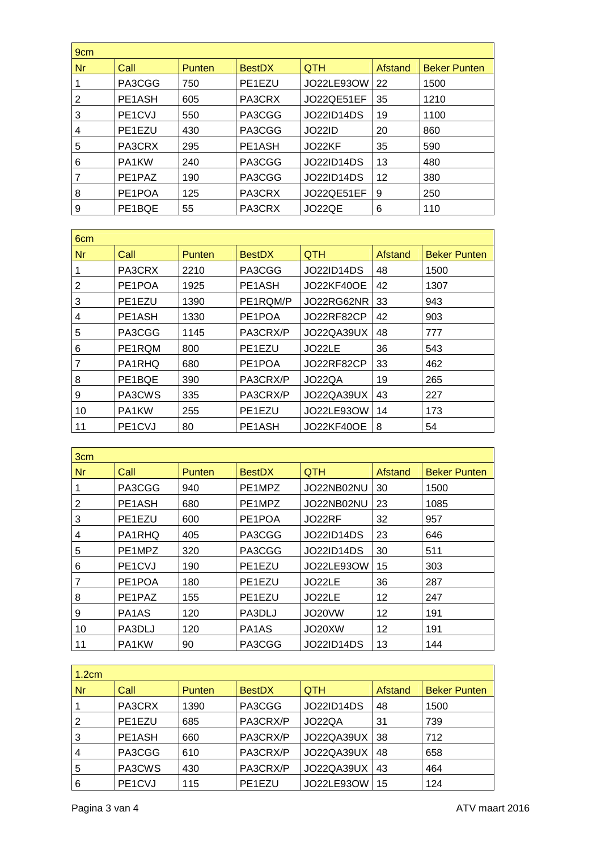| 9 <sub>cm</sub> |                                  |               |               |                   |                |                     |  |
|-----------------|----------------------------------|---------------|---------------|-------------------|----------------|---------------------|--|
| <b>Nr</b>       | Call                             | <b>Punten</b> | <b>BestDX</b> | <b>QTH</b>        | <b>Afstand</b> | <b>Beker Punten</b> |  |
|                 | PA3CGG                           | 750           | PE1EZU        | JO22LE93OW        | 22             | 1500                |  |
| 2               | PE1ASH                           | 605           | PA3CRX        | JO22QE51EF        | 35             | 1210                |  |
| 3               | PE <sub>1</sub> C <sub>V</sub> J | 550           | PA3CGG        | <b>JO22ID14DS</b> | 19             | 1100                |  |
| 4               | PE <sub>1</sub> EZU              | 430           | PA3CGG        | <b>JO22ID</b>     | 20             | 860                 |  |
| 5               | PA3CRX                           | 295           | PE1ASH        | JO22KF            | 35             | 590                 |  |
| 6               | PA1KW                            | 240           | PA3CGG        | JO22ID14DS        | 13             | 480                 |  |
|                 | PE1PAZ                           | 190           | PA3CGG        | <b>JO22ID14DS</b> | 12             | 380                 |  |
| 8               | PE1POA                           | 125           | PA3CRX        | JO22QE51EF        | 9              | 250                 |  |
| 9               | PE1BQE                           | 55            | PA3CRX        | JO22QE            | 6              | 110                 |  |

| 6 <sub>cm</sub> |                                  |               |               |                   |         |                     |
|-----------------|----------------------------------|---------------|---------------|-------------------|---------|---------------------|
| <b>Nr</b>       | Call                             | <b>Punten</b> | <b>BestDX</b> | <b>QTH</b>        | Afstand | <b>Beker Punten</b> |
|                 | PA3CRX                           | 2210          | PA3CGG        | <b>JO22ID14DS</b> | 48      | 1500                |
| $\overline{2}$  | PE1POA                           | 1925          | PE1ASH        | JO22KF40OE        | 42      | 1307                |
| 3               | PE1EZU                           | 1390          | PE1RQM/P      | JO22RG62NR        | 33      | 943                 |
| 4               | PE1ASH                           | 1330          | PE1POA        | JO22RF82CP        | 42      | 903                 |
| 5               | PA3CGG                           | 1145          | PA3CRX/P      | JO22QA39UX        | 48      | 777                 |
| 6               | PE1RQM                           | 800           | PE1EZU        | JO22LE            | 36      | 543                 |
| $\overline{7}$  | PA1RHQ                           | 680           | PE1POA        | JO22RF82CP        | 33      | 462                 |
| 8               | PE1BQE                           | 390           | PA3CRX/P      | JO22QA            | 19      | 265                 |
| 9               | PA3CWS                           | 335           | PA3CRX/P      | JO22QA39UX        | 43      | 227                 |
| 10              | PA1KW                            | 255           | PE1EZU        | JO22LE93OW        | 14      | 173                 |
| 11              | PE <sub>1</sub> C <sub>V</sub> J | 80            | PE1ASH        | <b>JO22KF40OE</b> | 8       | 54                  |

| 3cm |                                  |               |               |                   |         |                     |  |
|-----|----------------------------------|---------------|---------------|-------------------|---------|---------------------|--|
| Nr  | Call                             | <b>Punten</b> | <b>BestDX</b> | <b>QTH</b>        | Afstand | <b>Beker Punten</b> |  |
|     | PA3CGG                           | 940           | PE1MPZ        | JO22NB02NU        | 30      | 1500                |  |
| 2   | PE1ASH                           | 680           | PE1MPZ        | JO22NB02NU        | 23      | 1085                |  |
| 3   | PE1EZU                           | 600           | PE1POA        | JO22RF            | 32      | 957                 |  |
| 4   | PA1RHQ                           | 405           | PA3CGG        | <b>JO22ID14DS</b> | 23      | 646                 |  |
| 5   | PE1MPZ                           | 320           | PA3CGG        | JO22ID14DS        | 30      | 511                 |  |
| 6   | PE <sub>1</sub> C <sub>V</sub> J | 190           | PE1EZU        | JO22LE93OW        | 15      | 303                 |  |
| 7   | PE1POA                           | 180           | PE1EZU        | JO22LE            | 36      | 287                 |  |
| 8   | PE <sub>1</sub> PAZ              | 155           | PE1EZU        | JO22LE            | 12      | 247                 |  |
| 9   | PA1AS                            | 120           | PA3DLJ        | JO20VW            | 12      | 191                 |  |
| 10  | PA3DLJ                           | 120           | PA1AS         | JO20XW            | 12      | 191                 |  |
| 11  | PA1KW                            | 90            | PA3CGG        | <b>JO22ID14DS</b> | 13      | 144                 |  |

| 1.2cm          |                                  |               |               |                   |         |                     |  |
|----------------|----------------------------------|---------------|---------------|-------------------|---------|---------------------|--|
| <b>Nr</b>      | Call                             | <b>Punten</b> | <b>BestDX</b> | <b>QTH</b>        | Afstand | <b>Beker Punten</b> |  |
|                | PA3CRX                           | 1390          | PA3CGG        | <b>JO22ID14DS</b> | 48      | 1500                |  |
| 2              | PE1EZU                           | 685           | PA3CRX/P      | JO22QA            | 31      | 739                 |  |
| 3              | PE1ASH                           | 660           | PA3CRX/P      | JO22QA39UX        | 38      | 712                 |  |
| $\overline{4}$ | PA3CGG                           | 610           | PA3CRX/P      | JO22QA39UX        | 48      | 658                 |  |
| 5              | PA3CWS                           | 430           | PA3CRX/P      | JO22QA39UX        | 43      | 464                 |  |
| 6              | PE <sub>1</sub> C <sub>V</sub> J | 115           | PE1EZU        | JO22LE93OW        | 15      | 124                 |  |